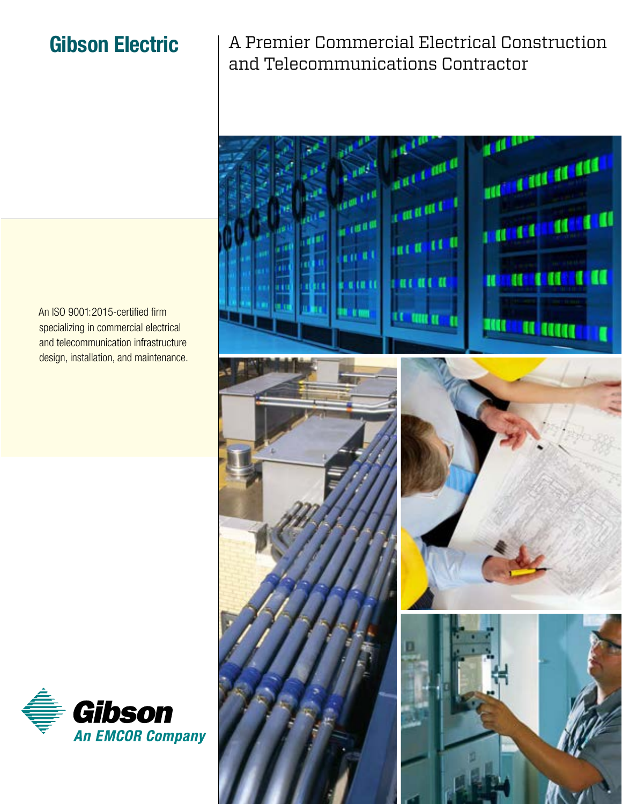# **Gibson Electric**

A Premier Commercial Electrical Construction and Telecommunications Contractor



An ISO 9001:2015-certified firm specializing in commercial electrical and telecommunication infrastructure design, installation, and maintenance.

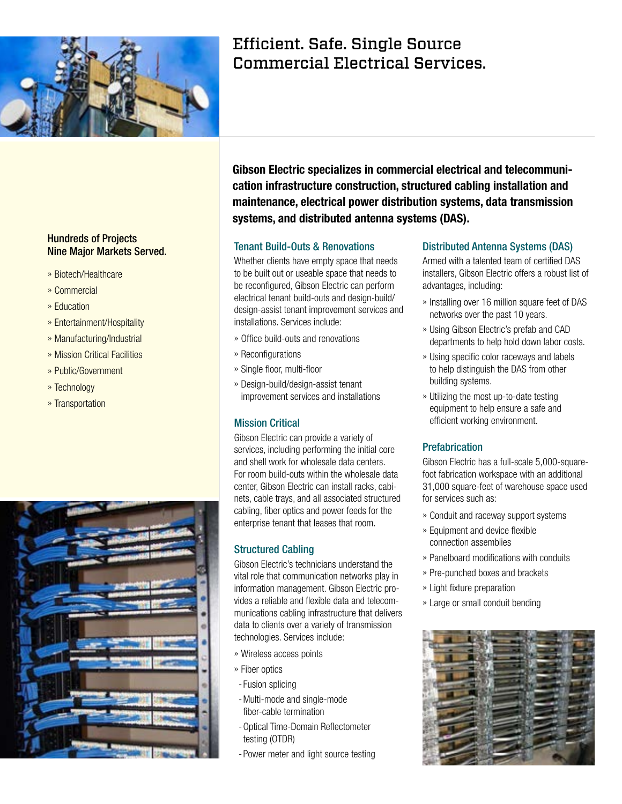

## Hundreds of Projects Nine Major Markets Served.

- » Biotech/Healthcare
- » Commercial
- » Education
- » Entertainment/Hospitality
- » Manufacturing/Industrial
- » Mission Critical Facilities
- » Public/Government
- » Technology
- » Transportation



# Efficient. Safe. Single Source Commercial Electrical Services.

**Gibson Electric specializes in commercial electrical and telecommunication infrastructure construction, structured cabling installation and maintenance, electrical power distribution systems, data transmission systems, and distributed antenna systems (DAS).**

#### Tenant Build-Outs & Renovations

Whether clients have empty space that needs to be built out or useable space that needs to be reconfigured, Gibson Electric can perform electrical tenant build-outs and design-build/ design-assist tenant improvement services and installations. Services include:

- » Office build-outs and renovations
- » Reconfigurations
- » Single floor, multi-floor
- » Design-build/design-assist tenant improvement services and installations

#### Mission Critical

Gibson Electric can provide a variety of services, including performing the initial core and shell work for wholesale data centers. For room build-outs within the wholesale data center, Gibson Electric can install racks, cabinets, cable trays, and all associated structured cabling, fiber optics and power feeds for the enterprise tenant that leases that room.

#### Structured Cabling

Gibson Electric's technicians understand the vital role that communication networks play in information management. Gibson Electric provides a reliable and flexible data and telecommunications cabling infrastructure that delivers data to clients over a variety of transmission technologies. Services include:

- » Wireless access points
- » Fiber optics
- Fusion splicing
- Multi-mode and single-mode fiber-cable termination
- Optical Time-Domain Reflectometer testing (OTDR)
- -Power meter and light source testing

### Distributed Antenna Systems (DAS)

Armed with a talented team of certified DAS installers, Gibson Electric offers a robust list of advantages, including:

- » Installing over 16 million square feet of DAS networks over the past 10 years.
- » Using Gibson Electric's prefab and CAD departments to help hold down labor costs.
- » Using specific color raceways and labels to help distinguish the DAS from other building systems.
- » Utilizing the most up-to-date testing equipment to help ensure a safe and efficient working environment.

#### **Prefabrication**

Gibson Electric has a full-scale 5,000-squarefoot fabrication workspace with an additional 31,000 square-feet of warehouse space used for services such as:

- » Conduit and raceway support systems
- » Equipment and device flexible connection assemblies
- » Panelboard modifications with conduits
- » Pre-punched boxes and brackets
- » Light fixture preparation
- » Large or small conduit bending

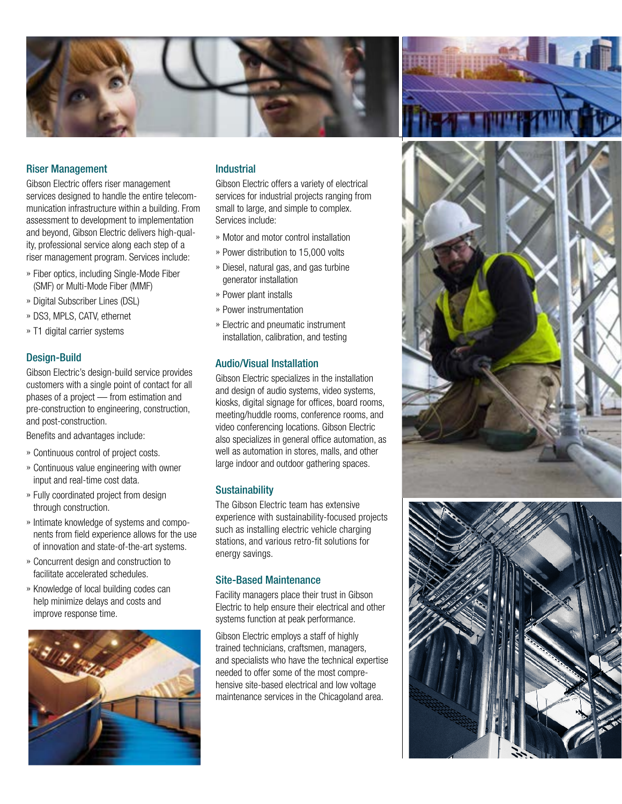

#### Riser Management

Gibson Electric offers riser management services designed to handle the entire telecommunication infrastructure within a building. From assessment to development to implementation and beyond, Gibson Electric delivers high-quality, professional service along each step of a riser management program. Services include:

- » Fiber optics, including Single-Mode Fiber (SMF) or Multi-Mode Fiber (MMF)
- » Digital Subscriber Lines (DSL)
- » DS3, MPLS, CATV, ethernet
- » T1 digital carrier systems

#### Design-Build

Gibson Electric's design-build service provides customers with a single point of contact for all phases of a project — from estimation and pre-construction to engineering, construction, and post-construction.

Benefits and advantages include:

- » Continuous control of project costs.
- » Continuous value engineering with owner input and real-time cost data.
- » Fully coordinated project from design through construction.
- » Intimate knowledge of systems and components from field experience allows for the use of innovation and state-of-the-art systems.
- » Concurrent design and construction to facilitate accelerated schedules.
- » Knowledge of local building codes can help minimize delays and costs and improve response time.



#### **Industrial**

Gibson Electric offers a variety of electrical services for industrial projects ranging from small to large, and simple to complex. Services include:

- » Motor and motor control installation
- » Power distribution to 15,000 volts
- » Diesel, natural gas, and gas turbine generator installation
- » Power plant installs
- » Power instrumentation
- » Electric and pneumatic instrument installation, calibration, and testing

#### Audio/Visual Installation

Gibson Electric specializes in the installation and design of audio systems, video systems, kiosks, digital signage for offices, board rooms, meeting/huddle rooms, conference rooms, and video conferencing locations. Gibson Electric also specializes in general office automation, as well as automation in stores, malls, and other large indoor and outdoor gathering spaces.

#### **Sustainability**

The Gibson Electric team has extensive experience with sustainability-focused projects such as installing electric vehicle charging stations, and various retro-fit solutions for energy savings.

#### Site-Based Maintenance

Facility managers place their trust in Gibson Electric to help ensure their electrical and other systems function at peak performance.

Gibson Electric employs a staff of highly trained technicians, craftsmen, managers, and specialists who have the technical expertise needed to offer some of the most comprehensive site-based electrical and low voltage maintenance services in the Chicagoland area.